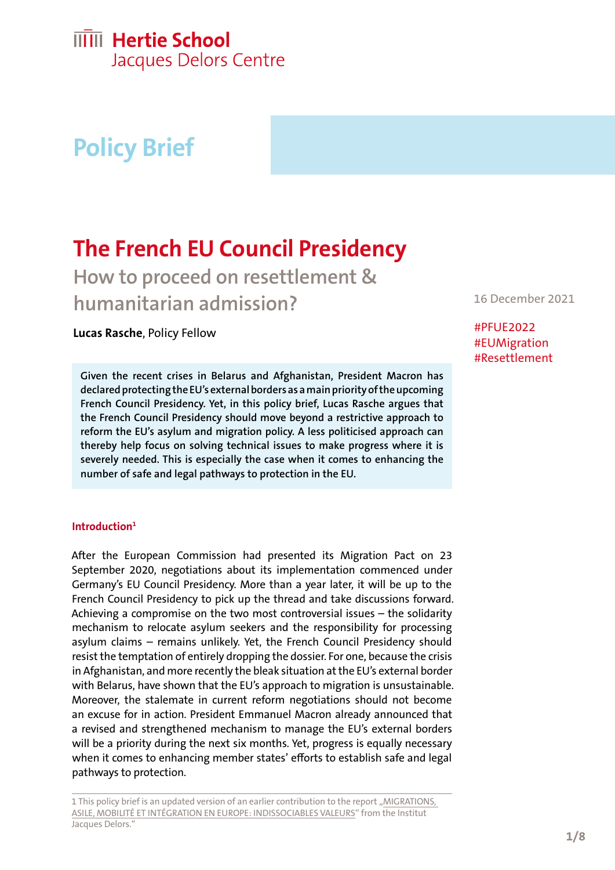# **Policy Brief**

## **The French EU Council Presidency**

**How to proceed on resettlement & humanitarian admission?**

**Lucas Rasche**, Policy Fellow

**Given the recent crises in Belarus and Afghanistan, President Macron has declared protecting the EU's external borders as a main priority of the upcoming French Council Presidency. Yet, in this policy brief, Lucas Rasche argues that the French Council Presidency should move beyond a restrictive approach to reform the EU's asylum and migration policy. A less politicised approach can thereby help focus on solving technical issues to make progress where it is severely needed. This is especially the case when it comes to enhancing the number of safe and legal pathways to protection in the EU.** 

#### **Introduction1**

After the European Commission had presented its Migration Pact on 23 September 2020, negotiations about its implementation commenced under Germany's EU Council Presidency. More than a year later, it will be up to the French Council Presidency to pick up the thread and take discussions forward. Achieving a compromise on the two most controversial issues – the solidarity mechanism to relocate asylum seekers and the responsibility for processing asylum claims – remains unlikely. Yet, the French Council Presidency should resist the temptation of entirely dropping the dossier. For one, because the crisis in Afghanistan, and more recently the bleak situation at the EU's external border with Belarus, have shown that the EU's approach to migration is unsustainable. Moreover, the stalemate in current reform negotiations should not become an excuse for in action. President Emmanuel Macron already announced that a revised and strengthened mechanism to manage the EU's external borders will be a priority during the next six months. Yet, progress is equally necessary when it comes to enhancing member states' efforts to establish safe and legal pathways to protection.

16 December 2021

#PFUE2022 #EUMigration #Resettlement

<sup>1</sup> This policy brief is an updated version of an earlier contribution to the report "MIGRATIONS, [ASILE, MOBILITÉ ET INTÉGRATION EN EUROPE: INDISSOCIABLES VALEURS"](https://institutdelors.eu/publications/migrations-asile-mobilite-et-integration-en-europe-indissociables-valeurs/) from the Institut Jacques Delors."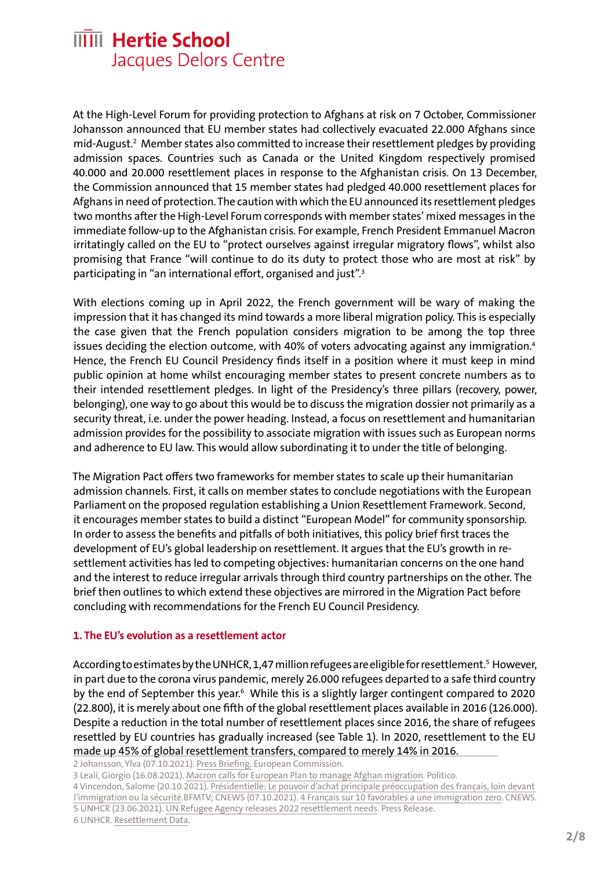At the High-Level Forum for providing protection to Afghans at risk on 7 October, Commissioner Johansson announced that EU member states had collectively evacuated 22.000 Afghans since mid-August.2 Member states also committed to increase their resettlement pledges by providing admission spaces. Countries such as Canada or the United Kingdom respectively promised 40.000 and 20.000 resettlement places in response to the Afghanistan crisis. On 13 December, the Commission announced that 15 member states had pledged 40.000 resettlement places for Afghans in need of protection. The caution with which the EU announced its resettlement pledges two months after the High-Level Forum corresponds with member states' mixed messages in the immediate follow-up to the Afghanistan crisis. For example, French President Emmanuel Macron irritatingly called on the EU to "protect ourselves against irregular migratory flows", whilst also promising that France "will continue to do its duty to protect those who are most at risk" by participating in "an international effort, organised and just".<sup>3</sup>

With elections coming up in April 2022, the French government will be wary of making the impression that it has changed its mind towards a more liberal migration policy. This is especially the case given that the French population considers migration to be among the top three issues deciding the election outcome, with 40% of voters advocating against any immigration.<sup>4</sup> Hence, the French EU Council Presidency finds itself in a position where it must keep in mind public opinion at home whilst encouraging member states to present concrete numbers as to their intended resettlement pledges. In light of the Presidency's three pillars (recovery, power, belonging), one way to go about this would be to discuss the migration dossier not primarily as a security threat, i.e. under the power heading. Instead, a focus on resettlement and humanitarian admission provides for the possibility to associate migration with issues such as European norms and adherence to EU law. This would allow subordinating it to under the title of belonging.

The Migration Pact offers two frameworks for member states to scale up their humanitarian admission channels. First, it calls on member states to conclude negotiations with the European Parliament on the proposed regulation establishing a Union Resettlement Framework. Second, it encourages member states to build a distinct "European Model" for community sponsorship. In order to assess the benefits and pitfalls of both initiatives, this policy brief first traces the development of EU's global leadership on resettlement. It argues that the EU's growth in resettlement activities has led to competing objectives: humanitarian concerns on the one hand and the interest to reduce irregular arrivals through third country partnerships on the other. The brief then outlines to which extend these objectives are mirrored in the Migration Pact before concluding with recommendations for the French EU Council Presidency.

#### **1. The EU's evolution as a resettlement actor**

According to estimates by the UNHCR, 1,47 million refugees are eligible for resettlement.<sup>5</sup> However, in part due to the corona virus pandemic, merely 26.000 refugees departed to a safe third country by the end of September this year.<sup>6</sup> While this is a slightly larger contingent compared to 2020 (22.800), it is merely about one fifth of the global resettlement places available in 2016 (126.000). Despite a reduction in the total number of resettlement places since 2016, the share of refugees resettled by EU countries has gradually increased (see Table 1). In 2020, resettlement to the EU made up 45% of global resettlement transfers, compared to merely 14% in 2016.

2 Johansson, Ylva (07.10.2021). [Press Briefing.](https://audiovisual.ec.europa.eu/en/video/I-211839) European Commission.

3 Leali, Giorgio (16.08.2021). [Macron calls for European Plan to manage Afghan migration.](https://www.politico.eu/article/france-emmanuel-macron-europe-plan-afghanistan-migration-crisis-taliban/) Politico.

4 Vincendon, Salome (20.10.2021). [Présidentielle: Le pouvoir d'achat principale préoccupation des français, loin devant](https://www.bfmtv.com/societe/sondage-bfmtv-presidentielle-le-pouvoir-d-achat-principale-preoccupation-des-francais-loin-devant-l-immigration-ou-la-securite_AN-202110200007.html)  [l'immigration ou la sécurité.](https://www.bfmtv.com/societe/sondage-bfmtv-presidentielle-le-pouvoir-d-achat-principale-preoccupation-des-francais-loin-devant-l-immigration-ou-la-securite_AN-202110200007.html)BFMTV; CNEWS (07.10.2021). [4 Français sur 10 favorables a une immigration zero](https://www.cnews.fr/france/2021-10-07/sondage-4-francais-sur-10-favorables-une-immigration-zero-1134677). CNEWS. 5 UNHCR (23.06.2021). [UN Refugee Agency releases 2022 resettlement needs](https://www.unhcr.org/news/press/2021/6/60d32ba44/un-refugee-agency-releases-2022-resettlement-needs.html). Press Release. 6 UNHCR. [Resettlement Data](https://www.unhcr.org/resettlement-data.html).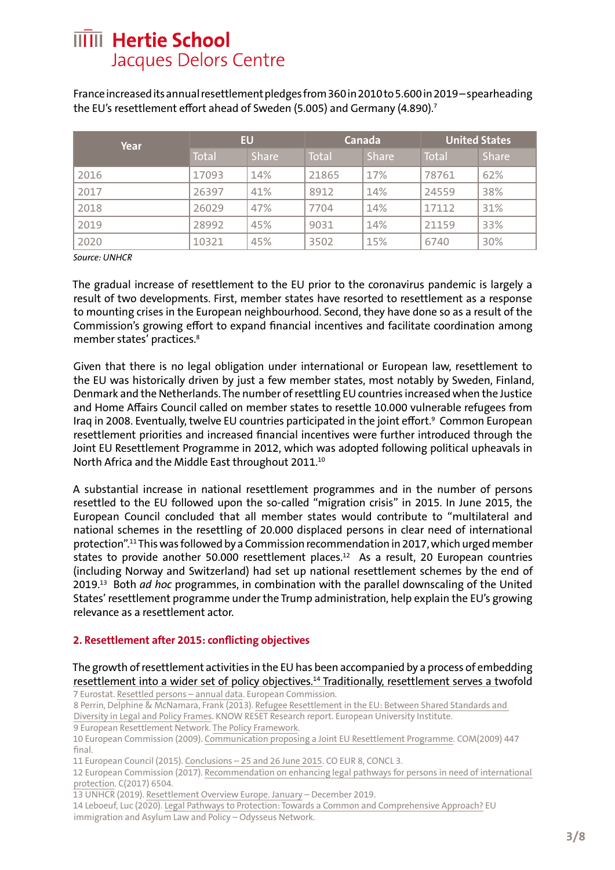France increased its annual resettlement pledges from 360 in 2010 to 5.600 in 2019 – spearheading the EU's resettlement effort ahead of Sweden (5.005) and Germany (4.890).<sup>7</sup>

| <b>Year</b> | EU    |              | Canada |              | <b>United States</b> |              |
|-------------|-------|--------------|--------|--------------|----------------------|--------------|
|             | Total | <b>Share</b> | Total  | <b>Share</b> | Total                | <b>Share</b> |
| 2016        | 17093 | 14%          | 21865  | 17%          | 78761                | 62%          |
| 2017        | 26397 | 41%          | 8912   | 14%          | 24559                | 38%          |
| 2018        | 26029 | 47%          | 7704   | 14%          | 17112                | 31%          |
| 2019        | 28992 | 45%          | 9031   | 14%          | 21159                | 33%          |
| 2020        | 10321 | 45%          | 3502   | 15%          | 6740                 | 30%          |

*Source: UNHCR*

The gradual increase of resettlement to the EU prior to the coronavirus pandemic is largely a result of two developments. First, member states have resorted to resettlement as a response to mounting crises in the European neighbourhood. Second, they have done so as a result of the Commission's growing effort to expand financial incentives and facilitate coordination among member states' practices.<sup>8</sup>

Given that there is no legal obligation under international or European law, resettlement to the EU was historically driven by just a few member states, most notably by Sweden, Finland, Denmark and the Netherlands. The number of resettling EU countries increased when the Justice and Home Affairs Council called on member states to resettle 10.000 vulnerable refugees from Iraq in 2008. Eventually, twelve EU countries participated in the joint effort.<sup>9</sup> Common European resettlement priorities and increased financial incentives were further introduced through the Joint EU Resettlement Programme in 2012, which was adopted following political upheavals in North Africa and the Middle East throughout 2011.<sup>10</sup>

A substantial increase in national resettlement programmes and in the number of persons resettled to the EU followed upon the so-called "migration crisis" in 2015. In June 2015, the European Council concluded that all member states would contribute to "multilateral and national schemes in the resettling of 20.000 displaced persons in clear need of international protection".11 This was followed by a Commission recommendation in 2017, which urged member states to provide another 50.000 resettlement places.<sup>12</sup> As a result, 20 European countries (including Norway and Switzerland) had set up national resettlement schemes by the end of 2019.13 Both *ad hoc* programmes, in combination with the parallel downscaling of the United States' resettlement programme under the Trump administration, help explain the EU's growing relevance as a resettlement actor.

#### **2. Resettlement after 2015: conflicting objectives**

The growth of resettlement activities in the EU has been accompanied by a process of embedding resettlement into a wider set of policy objectives.<sup>14</sup> Traditionally, resettlement serves a twofold

7 Eurostat. [Resettled persons – annual data](https://ec.europa.eu/eurostat/databrowser/view/tps00195/default/table?lang=en). European Commission.

8 Perrin, Delphine & McNamara, Frank (2013). [Refugee Resettlement in the EU: Between Shared Standards and](chrome-extension://efaidnbmnnnibpcajpcglclefindmkaj/viewer.html?pdfurl=https%3A%2F%2Fcadmus.eui.eu%2Fbitstream%2Fhandle%2F1814%2F29400%2FKnowReset_RR-2013_03.pdf&clen=1263015) 

[Diversity in Legal and Policy Frames](chrome-extension://efaidnbmnnnibpcajpcglclefindmkaj/viewer.html?pdfurl=https%3A%2F%2Fcadmus.eui.eu%2Fbitstream%2Fhandle%2F1814%2F29400%2FKnowReset_RR-2013_03.pdf&clen=1263015). KNOW RESET Research report. European University Institute.

9 European Resettlement Network. [The Policy Framework](https://www.resettlement.eu/page/resettlement-in-europe).

10 European Commission (2009). [Communication proposing a Joint EU Resettlement Programme.](https://eur-lex.europa.eu/legal-content/EN/TXT/?uri=LEGISSUM%3Ajl0029) COM(2009) 447 final.

11 European Council (2015). [Conclusions – 25 and 26 June 2015.](chrome-extension://efaidnbmnnnibpcajpcglclefindmkaj/viewer.html?pdfurl=https%3A%2F%2Fwww.consilium.europa.eu%2Fmedia%2F21717%2Feuco-conclusions-25-26-june-2015.pdf&clen=40283&chunk=true) CO EUR 8, CONCL 3.

12 European Commission (2017). [Recommendation on enhancing legal pathways for persons in need of international](chrome-extension://efaidnbmnnnibpcajpcglclefindmkaj/viewer.html?pdfurl=https%3A%2F%2Feur-lex.europa.eu%2Flegal-content%2FEN%2FTXT%2FPDF%2F%3Furi%3DCELEX%3A32017H1803%26from%3DEN)  [protection.](chrome-extension://efaidnbmnnnibpcajpcglclefindmkaj/viewer.html?pdfurl=https%3A%2F%2Feur-lex.europa.eu%2Flegal-content%2FEN%2FTXT%2FPDF%2F%3Furi%3DCELEX%3A32017H1803%26from%3DEN) C(2017) 6504.

13 UNHCR (2019). [Resettlement Overview Europe. January](https://reliefweb.int/sites/reliefweb.int/files/resources/77244.pdf) – December 2019.

14 Leboeuf, Luc (2020). [Legal Pathways to Protection: Towards a Common and Comprehensive Approach?](https://eumigrationlawblog.eu/legal-pathways-to-protection-towards-a-common-and-comprehensive-approach/) EU immigration and Asylum Law and Policy – Odysseus Network.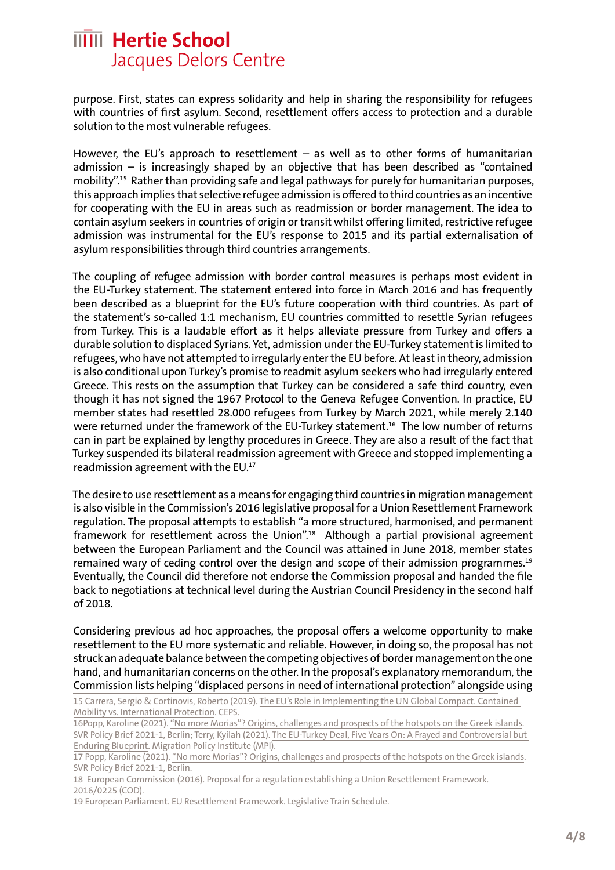purpose. First, states can express solidarity and help in sharing the responsibility for refugees with countries of first asylum. Second, resettlement offers access to protection and a durable solution to the most vulnerable refugees.

However, the EU's approach to resettlement – as well as to other forms of humanitarian admission – is increasingly shaped by an objective that has been described as "contained mobility".15 Rather than providing safe and legal pathways for purely for humanitarian purposes, this approach implies that selective refugee admission is offered to third countries as an incentive for cooperating with the EU in areas such as readmission or border management. The idea to contain asylum seekers in countries of origin or transit whilst offering limited, restrictive refugee admission was instrumental for the EU's response to 2015 and its partial externalisation of asylum responsibilities through third countries arrangements.

The coupling of refugee admission with border control measures is perhaps most evident in the EU-Turkey statement. The statement entered into force in March 2016 and has frequently been described as a blueprint for the EU's future cooperation with third countries. As part of the statement's so-called 1:1 mechanism, EU countries committed to resettle Syrian refugees from Turkey. This is a laudable effort as it helps alleviate pressure from Turkey and offers a durable solution to displaced Syrians. Yet, admission under the EU-Turkey statement is limited to refugees, who have not attempted to irregularly enter the EU before. At least in theory, admission is also conditional upon Turkey's promise to readmit asylum seekers who had irregularly entered Greece. This rests on the assumption that Turkey can be considered a safe third country, even though it has not signed the 1967 Protocol to the Geneva Refugee Convention. In practice, EU member states had resettled 28.000 refugees from Turkey by March 2021, while merely 2.140 were returned under the framework of the EU-Turkey statement.<sup>16</sup> The low number of returns can in part be explained by lengthy procedures in Greece. They are also a result of the fact that Turkey suspended its bilateral readmission agreement with Greece and stopped implementing a readmission agreement with the EU.17

The desire to use resettlement as a means for engaging third countries in migration management is also visible in the Commission's 2016 legislative proposal for a Union Resettlement Framework regulation. The proposal attempts to establish "a more structured, harmonised, and permanent framework for resettlement across the Union".<sup>18</sup> Although a partial provisional agreement between the European Parliament and the Council was attained in June 2018, member states remained wary of ceding control over the design and scope of their admission programmes.<sup>19</sup> Eventually, the Council did therefore not endorse the Commission proposal and handed the file back to negotiations at technical level during the Austrian Council Presidency in the second half of 2018.

Considering previous ad hoc approaches, the proposal offers a welcome opportunity to make resettlement to the EU more systematic and reliable. However, in doing so, the proposal has not struck an adequate balance between the competing objectives of border management on the one hand, and humanitarian concerns on the other. In the proposal's explanatory memorandum, the Commission lists helping "displaced persons in need of international protection" alongside using

<sup>15</sup> Carrera, Sergio & Cortinovis, Roberto (2019). [The EU's Role in Implementing the UN Global Compact. Contained](https://www.ceps.eu/ceps-publications/eus-role-implementing-un-global-compact-refugees/)  [Mobility vs. International Protection.](https://www.ceps.eu/ceps-publications/eus-role-implementing-un-global-compact-refugees/) CEPS.

<sup>16</sup>Popp, Karoline (2021). ["No more Morias"? Origins, challenges and prospects of the hotspots on the Greek islands.](chrome-extension://efaidnbmnnnibpcajpcglclefindmkaj/viewer.html?pdfurl=https%3A%2F%2Fwww.svr-migration.de%2Fwp-content%2Fuploads%2F2021%2F03%2FSVR_Policy-Brief_Moria_EN_barrier-free.pdf&clen=459335&chunk=true) SVR Policy Brief 2021-1, Berlin; Terry, Kyilah (2021). [The EU-Turkey Deal, Five Years On: A Frayed and Controversial but](https://www.migrationpolicy.org/article/eu-turkey-deal-five-years-on)  [Enduring Blueprint](https://www.migrationpolicy.org/article/eu-turkey-deal-five-years-on). Migration Policy Institute (MPI).

<sup>17</sup> Popp, Karoline (2021). ["No more Morias"? Origins, challenges and prospects of the hotspots on the Greek islands](chrome-extension://efaidnbmnnnibpcajpcglclefindmkaj/viewer.html?pdfurl=https%3A%2F%2Fwww.svr-migration.de%2Fwp-content%2Fuploads%2F2021%2F03%2FSVR_Policy-Brief_Moria_EN_barrier-free.pdf&clen=459335&chunk=true). SVR Policy Brief 2021-1, Berlin.

<sup>18</sup> European Commission (2016). [Proposal for a regulation establishing a Union Resettlement Framework](chrome-extension://efaidnbmnnnibpcajpcglclefindmkaj/viewer.html?pdfurl=https%3A%2F%2Feur-lex.europa.eu%2Flegal-content%2FEN%2FTXT%2FPDF%2F%3Furi%3DCELEX%3A52016PC0468%26from%3DEN). 2016/0225 (COD).

<sup>19</sup> European Parliament. [EU Resettlement Framework.](chrome-extension://efaidnbmnnnibpcajpcglclefindmkaj/viewer.html?pdfurl=https%3A%2F%2Feur-lex.europa.eu%2Flegal-content%2FEN%2FTXT%2FPDF%2F%3Furi%3DCELEX%3A52016PC0468%26from%3DEN) Legislative Train Schedule.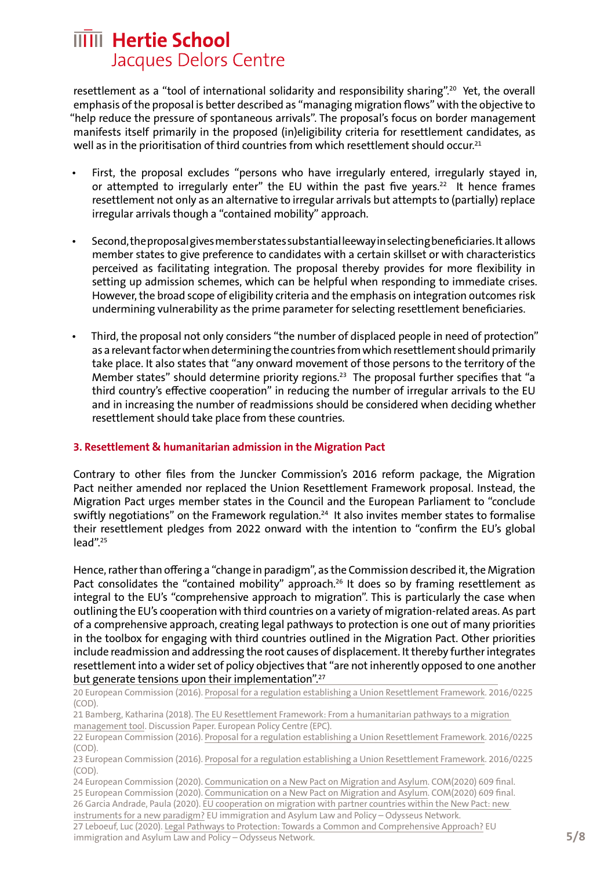resettlement as a "tool of international solidarity and responsibility sharing".<sup>20</sup> Yet, the overall emphasis of the proposal is better described as "managing migration flows" with the objective to "help reduce the pressure of spontaneous arrivals". The proposal's focus on border management manifests itself primarily in the proposed (in)eligibility criteria for resettlement candidates, as well as in the prioritisation of third countries from which resettlement should occur.<sup>21</sup>

- First, the proposal excludes "persons who have irregularly entered, irregularly stayed in, or attempted to irregularly enter" the EU within the past five years.<sup>22</sup> It hence frames resettlement not only as an alternative to irregular arrivals but attempts to (partially) replace irregular arrivals though a "contained mobility" approach.
- Second, the proposal gives member states substantial leeway in selecting beneficiaries. It allows member states to give preference to candidates with a certain skillset or with characteristics perceived as facilitating integration. The proposal thereby provides for more flexibility in setting up admission schemes, which can be helpful when responding to immediate crises. However, the broad scope of eligibility criteria and the emphasis on integration outcomes risk undermining vulnerability as the prime parameter for selecting resettlement beneficiaries.
- Third, the proposal not only considers "the number of displaced people in need of protection" as a relevant factor when determining the countries from which resettlement should primarily take place. It also states that "any onward movement of those persons to the territory of the Member states" should determine priority regions.<sup>23</sup> The proposal further specifies that "a third country's effective cooperation" in reducing the number of irregular arrivals to the EU and in increasing the number of readmissions should be considered when deciding whether resettlement should take place from these countries.

#### **3. Resettlement & humanitarian admission in the Migration Pact**

Contrary to other files from the Juncker Commission's 2016 reform package, the Migration Pact neither amended nor replaced the Union Resettlement Framework proposal. Instead, the Migration Pact urges member states in the Council and the European Parliament to "conclude swiftly negotiations" on the Framework regulation.<sup>24</sup> It also invites member states to formalise their resettlement pledges from 2022 onward with the intention to "confirm the EU's global lead".25

Hence, rather than offering a "change in paradigm", as the Commission described it, the Migration Pact consolidates the "contained mobility" approach.<sup>26</sup> It does so by framing resettlement as integral to the EU's "comprehensive approach to migration". This is particularly the case when outlining the EU's cooperation with third countries on a variety of migration-related areas. As part of a comprehensive approach, creating legal pathways to protection is one out of many priorities in the toolbox for engaging with third countries outlined in the Migration Pact. Other priorities include readmission and addressing the root causes of displacement. It thereby further integrates resettlement into a wider set of policy objectives that "are not inherently opposed to one another but generate tensions upon their implementation".<sup>27</sup>

20 European Commission (2016). [Proposal for a regulation establishing a Union Resettlement Framework](chrome-extension://efaidnbmnnnibpcajpcglclefindmkaj/viewer.html?pdfurl=https%3A%2F%2Feur-lex.europa.eu%2Flegal-content%2FEN%2FTXT%2FPDF%2F%3Furi%3DCELEX%3A52016PC0468%26from%3DEN). 2016/0225 (COD).

immigration and Asylum Law and Policy – Odysseus Network.

<sup>21</sup> Bamberg, Katharina (2018). [The EU Resettlement Framework: From a humanitarian pathways to a migration](https://www.epc.eu/en/Publications/The-EU-Resettlement-Framework~203de8)  [management tool](https://www.epc.eu/en/Publications/The-EU-Resettlement-Framework~203de8). Discussion Paper. European Policy Centre (EPC).

<sup>22</sup> European Commission (2016). [Proposal for a regulation establishing a Union Resettlement Framework](chrome-extension://efaidnbmnnnibpcajpcglclefindmkaj/viewer.html?pdfurl=https%3A%2F%2Feur-lex.europa.eu%2Flegal-content%2FEN%2FTXT%2FPDF%2F%3Furi%3DCELEX%3A52016PC0468%26from%3DEN). 2016/0225 (COD).

<sup>23</sup> European Commission (2016). [Proposal for a regulation establishing a Union Resettlement Framework](chrome-extension://efaidnbmnnnibpcajpcglclefindmkaj/viewer.html?pdfurl=https%3A%2F%2Feur-lex.europa.eu%2Flegal-content%2FEN%2FTXT%2FPDF%2F%3Furi%3DCELEX%3A52016PC0468%26from%3DEN). 2016/0225 (COD).

<sup>24</sup> European Commission (2020). [Communication on a New Pact on Migration and Asylum](chrome-extension://efaidnbmnnnibpcajpcglclefindmkaj/viewer.html?pdfurl=https%3A%2F%2Feur-lex.europa.eu%2Fresource.html%3Furi%3Dcellar%3A85ff8b4f-ff13-11ea-b44f-01aa75ed71a1.0002.02%2FDOC_3%26format%3DPDF). COM(2020) 609 final. 25 European Commission (2020). [Communication on a New Pact on Migration and Asylum](chrome-extension://efaidnbmnnnibpcajpcglclefindmkaj/viewer.html?pdfurl=https%3A%2F%2Feur-lex.europa.eu%2Fresource.html%3Furi%3Dcellar%3A85ff8b4f-ff13-11ea-b44f-01aa75ed71a1.0002.02%2FDOC_3%26format%3DPDF). COM(2020) 609 final. 26 Garcia Andrade, Paula (2020). [EU cooperation on migration with partner countries within the New Pact: new](https://eumigrationlawblog.eu/eu-cooperation-on-migration-with-partner-countries-within-the-new-pact-new-instruments-for-a-new-paradigm/)  [instruments for a new paradigm?](https://eumigrationlawblog.eu/eu-cooperation-on-migration-with-partner-countries-within-the-new-pact-new-instruments-for-a-new-paradigm/) EU immigration and Asylum Law and Policy – Odysseus Network. 27 Leboeuf, Luc (2020). [Legal Pathways to Protection: Towards a Common and Comprehensive Approach?](https://eumigrationlawblog.eu/legal-pathways-to-protection-towards-a-common-and-comprehensive-approach/) EU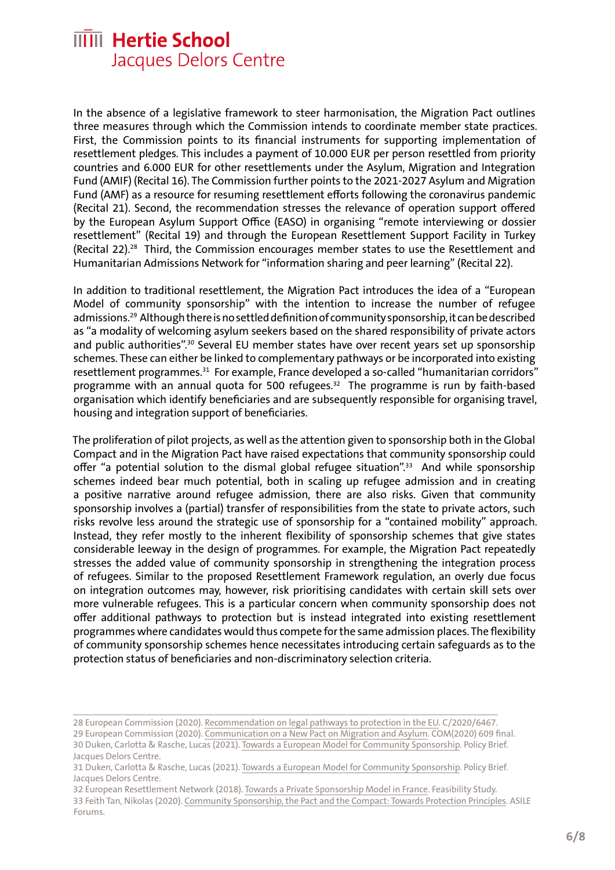In the absence of a legislative framework to steer harmonisation, the Migration Pact outlines three measures through which the Commission intends to coordinate member state practices. First, the Commission points to its financial instruments for supporting implementation of resettlement pledges. This includes a payment of 10.000 EUR per person resettled from priority countries and 6.000 EUR for other resettlements under the Asylum, Migration and Integration Fund (AMIF) (Recital 16). The Commission further points to the 2021-2027 Asylum and Migration Fund (AMF) as a resource for resuming resettlement efforts following the coronavirus pandemic (Recital 21). Second, the recommendation stresses the relevance of operation support offered by the European Asylum Support Office (EASO) in organising "remote interviewing or dossier resettlement" (Recital 19) and through the European Resettlement Support Facility in Turkey (Recital 22).28 Third, the Commission encourages member states to use the Resettlement and Humanitarian Admissions Network for "information sharing and peer learning" (Recital 22).

In addition to traditional resettlement, the Migration Pact introduces the idea of a "European Model of community sponsorship" with the intention to increase the number of refugee admissions.<sup>29</sup> Although there is no settled definition of community sponsorship, it can be described as "a modality of welcoming asylum seekers based on the shared responsibility of private actors and public authorities".<sup>30</sup> Several EU member states have over recent years set up sponsorship schemes. These can either be linked to complementary pathways or be incorporated into existing resettlement programmes.<sup>31</sup> For example, France developed a so-called "humanitarian corridors" programme with an annual quota for 500 refugees. $32$  The programme is run by faith-based organisation which identify beneficiaries and are subsequently responsible for organising travel, housing and integration support of beneficiaries.

The proliferation of pilot projects, as well as the attention given to sponsorship both in the Global Compact and in the Migration Pact have raised expectations that community sponsorship could offer "a potential solution to the dismal global refugee situation".<sup>33</sup> And while sponsorship schemes indeed bear much potential, both in scaling up refugee admission and in creating a positive narrative around refugee admission, there are also risks. Given that community sponsorship involves a (partial) transfer of responsibilities from the state to private actors, such risks revolve less around the strategic use of sponsorship for a "contained mobility" approach. Instead, they refer mostly to the inherent flexibility of sponsorship schemes that give states considerable leeway in the design of programmes. For example, the Migration Pact repeatedly stresses the added value of community sponsorship in strengthening the integration process of refugees. Similar to the proposed Resettlement Framework regulation, an overly due focus on integration outcomes may, however, risk prioritising candidates with certain skill sets over more vulnerable refugees. This is a particular concern when community sponsorship does not offer additional pathways to protection but is instead integrated into existing resettlement programmes where candidates would thus compete for the same admission places. The flexibility of community sponsorship schemes hence necessitates introducing certain safeguards as to the protection status of beneficiaries and non-discriminatory selection criteria.

<sup>28</sup> European Commission (2020). [Recommendation on legal pathways to protection in the EU.](https://eur-lex.europa.eu/legal-content/en/TXT/?uri=CELEX%3A32020H1364) C/2020/6467.

<sup>29</sup> European Commission (2020). [Communication on a New Pact on Migration and Asylum](chrome-extension://efaidnbmnnnibpcajpcglclefindmkaj/viewer.html?pdfurl=https%3A%2F%2Feur-lex.europa.eu%2Fresource.html%3Furi%3Dcellar%3A85ff8b4f-ff13-11ea-b44f-01aa75ed71a1.0002.02%2FDOC_3%26format%3DPDF). COM(2020) 609 final. 30 Duken, Carlotta & Rasche, Lucas (2021). [Towards a European Model for Community Sponsorship](chrome-extension://efaidnbmnnnibpcajpcglclefindmkaj/viewer.html?pdfurl=https%3A%2F%2Fhertieschool-f4e6.kxcdn.com%2Ffileadmin%2F2_Research%2F1_About_our_research%2F2_Research_centres%2F6_Jacques_Delors_Centre%2FPublications%2F202010331_Duken_Rasche_Community_sponsors.pdf&clen=125569&chunk=true). Policy Brief.

Jacques Delors Centre. 31 Duken, Carlotta & Rasche, Lucas (2021). [Towards a European Model for Community Sponsorship](chrome-extension://efaidnbmnnnibpcajpcglclefindmkaj/viewer.html?pdfurl=https%3A%2F%2Fhertieschool-f4e6.kxcdn.com%2Ffileadmin%2F2_Research%2F1_About_our_research%2F2_Research_centres%2F6_Jacques_Delors_Centre%2FPublications%2F202010331_Duken_Rasche_Community_sponsors.pdf&clen=125569&chunk=true). Policy Brief.

Jacques Delors Centre.

<sup>32</sup> European Resettlement Network (2018). [Towards a Private Sponsorship Model in France](chrome-extension://efaidnbmnnnibpcajpcglclefindmkaj/viewer.html?pdfurl=https%3A%2F%2Fresettlement.eu%2Fsites%2Ficmc%2Ffiles%2FERN%252B%2520Private%2520Sponsorship%2520Feasibility%2520Study%2520-%2520Towards%2520a%2520Private%2520Sponsorship%2520Model%2520in%2520France.pdf&clen=463641&chunk=true). Feasibility Study. 33 Feith Tan, Nikolas (2020). [Community Sponsorship, the Pact and the Compact: Towards Protection Principles.](https://www.asileproject.eu/community-sponsorship-the-pact-and-the-compact-towards-protection-principles/) ASILE Forums.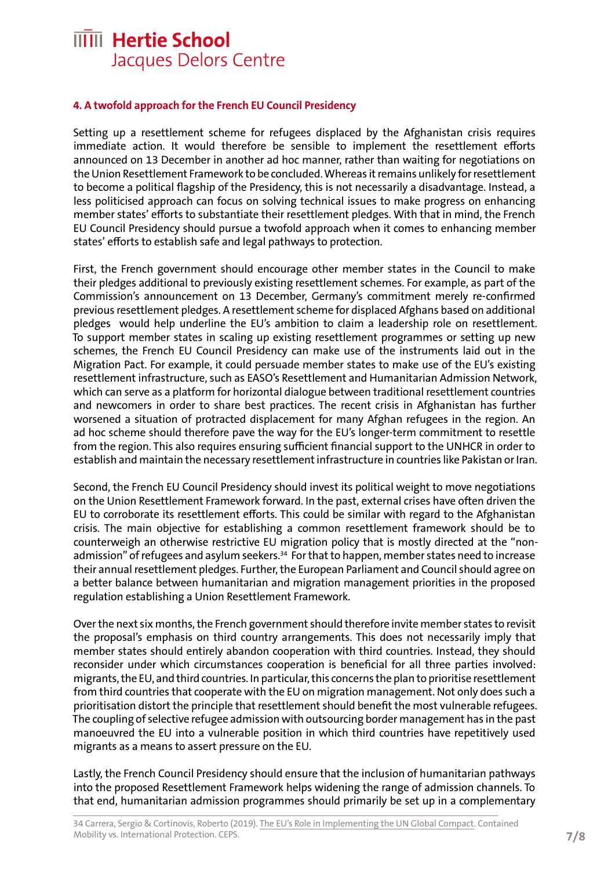#### **4. A twofold approach for the French EU Council Presidency**

Setting up a resettlement scheme for refugees displaced by the Afghanistan crisis requires immediate action. It would therefore be sensible to implement the resettlement efforts announced on 13 December in another ad hoc manner, rather than waiting for negotiations on the Union Resettlement Framework to be concluded. Whereas it remains unlikely for resettlement to become a political flagship of the Presidency, this is not necessarily a disadvantage. Instead, a less politicised approach can focus on solving technical issues to make progress on enhancing member states' efforts to substantiate their resettlement pledges. With that in mind, the French EU Council Presidency should pursue a twofold approach when it comes to enhancing member states' efforts to establish safe and legal pathways to protection.

First, the French government should encourage other member states in the Council to make their pledges additional to previously existing resettlement schemes. For example, as part of the Commission's announcement on 13 December, Germany's commitment merely re-confirmed previous resettlement pledges. A resettlement scheme for displaced Afghans based on additional pledges would help underline the EU's ambition to claim a leadership role on resettlement. To support member states in scaling up existing resettlement programmes or setting up new schemes, the French EU Council Presidency can make use of the instruments laid out in the Migration Pact. For example, it could persuade member states to make use of the EU's existing resettlement infrastructure, such as EASO's Resettlement and Humanitarian Admission Network, which can serve as a platform for horizontal dialogue between traditional resettlement countries and newcomers in order to share best practices. The recent crisis in Afghanistan has further worsened a situation of protracted displacement for many Afghan refugees in the region. An ad hoc scheme should therefore pave the way for the EU's longer-term commitment to resettle from the region. This also requires ensuring sufficient financial support to the UNHCR in order to establish and maintain the necessary resettlement infrastructure in countries like Pakistan or Iran.

Second, the French EU Council Presidency should invest its political weight to move negotiations on the Union Resettlement Framework forward. In the past, external crises have often driven the EU to corroborate its resettlement efforts. This could be similar with regard to the Afghanistan crisis. The main objective for establishing a common resettlement framework should be to counterweigh an otherwise restrictive EU migration policy that is mostly directed at the "nonadmission" of refugees and asylum seekers.<sup>34</sup> For that to happen, member states need to increase their annual resettlement pledges. Further, the European Parliament and Council should agree on a better balance between humanitarian and migration management priorities in the proposed regulation establishing a Union Resettlement Framework.

Over the next six months, the French government should therefore invite member states to revisit the proposal's emphasis on third country arrangements. This does not necessarily imply that member states should entirely abandon cooperation with third countries. Instead, they should reconsider under which circumstances cooperation is beneficial for all three parties involved: migrants, the EU, and third countries. In particular, this concerns the plan to prioritise resettlement from third countries that cooperate with the EU on migration management. Not only does such a prioritisation distort the principle that resettlement should benefit the most vulnerable refugees. The coupling of selective refugee admission with outsourcing border management has in the past manoeuvred the EU into a vulnerable position in which third countries have repetitively used migrants as a means to assert pressure on the EU.

Lastly, the French Council Presidency should ensure that the inclusion of humanitarian pathways into the proposed Resettlement Framework helps widening the range of admission channels. To that end, humanitarian admission programmes should primarily be set up in a complementary